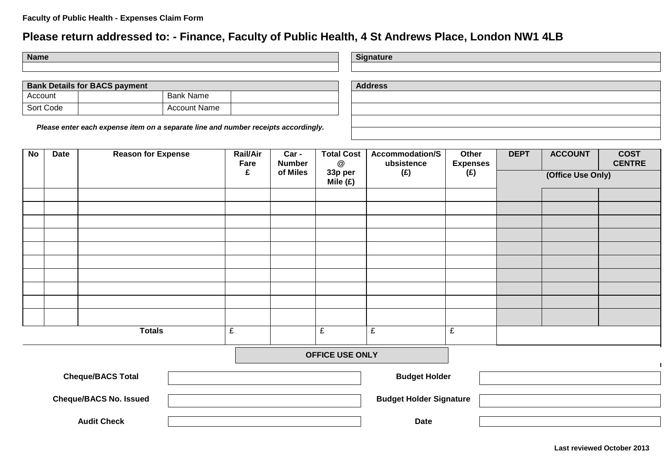#### **Faculty of Public Health - Expenses Claim Form**

# **Please return addressed to: - Finance, Faculty of Public Health, 4 St Andrews Place, London NW1 4LB**

**Name** Signature

| <b>Bank Details for BACS payment</b> |  |                     |  |  |  |  |  |  |
|--------------------------------------|--|---------------------|--|--|--|--|--|--|
| Account                              |  | Bank Name           |  |  |  |  |  |  |
| Sort Code                            |  | <b>Account Name</b> |  |  |  |  |  |  |

*Please enter each expense item on a separate line and number receipts accordingly.*

| <b>No</b>                     | <b>Date</b> | <b>Reason for Expense</b> |                                | Rail/Air<br>Fare<br>£ | Car-<br><b>Number</b><br>of Miles | <b>Total Cost</b><br>$^\circledR$<br>33p per<br>Mile (£) | <b>Accommodation/S</b><br>ubsistence<br>(E) | Other<br><b>Expenses</b><br>(E) | <b>DEPT</b><br><b>COST</b><br><b>ACCOUNT</b><br><b>CENTRE</b><br>(Office Use Only) |  |  |
|-------------------------------|-------------|---------------------------|--------------------------------|-----------------------|-----------------------------------|----------------------------------------------------------|---------------------------------------------|---------------------------------|------------------------------------------------------------------------------------|--|--|
|                               |             |                           |                                |                       |                                   |                                                          |                                             |                                 |                                                                                    |  |  |
|                               |             |                           |                                |                       |                                   |                                                          |                                             |                                 |                                                                                    |  |  |
|                               |             |                           |                                |                       |                                   |                                                          |                                             |                                 |                                                                                    |  |  |
|                               |             |                           |                                |                       |                                   |                                                          |                                             |                                 |                                                                                    |  |  |
|                               |             |                           |                                |                       |                                   |                                                          |                                             |                                 |                                                                                    |  |  |
|                               |             |                           |                                |                       |                                   |                                                          |                                             |                                 |                                                                                    |  |  |
|                               |             |                           |                                |                       |                                   |                                                          |                                             |                                 |                                                                                    |  |  |
|                               |             |                           |                                |                       |                                   |                                                          |                                             |                                 |                                                                                    |  |  |
|                               |             |                           |                                |                       |                                   |                                                          |                                             |                                 |                                                                                    |  |  |
| <b>Totals</b>                 |             | $\pounds$                 |                                |                       | £                                 | £                                                        | £                                           |                                 |                                                                                    |  |  |
|                               |             |                           |                                |                       |                                   | <b>OFFICE USE ONLY</b>                                   |                                             |                                 |                                                                                    |  |  |
| <b>Cheque/BACS Total</b>      |             |                           |                                |                       |                                   | <b>Budget Holder</b>                                     |                                             |                                 |                                                                                    |  |  |
| <b>Cheque/BACS No. Issued</b> |             |                           | <b>Budget Holder Signature</b> |                       |                                   |                                                          |                                             |                                 |                                                                                    |  |  |
| <b>Audit Check</b>            |             |                           |                                |                       | <b>Date</b>                       |                                                          |                                             |                                 |                                                                                    |  |  |